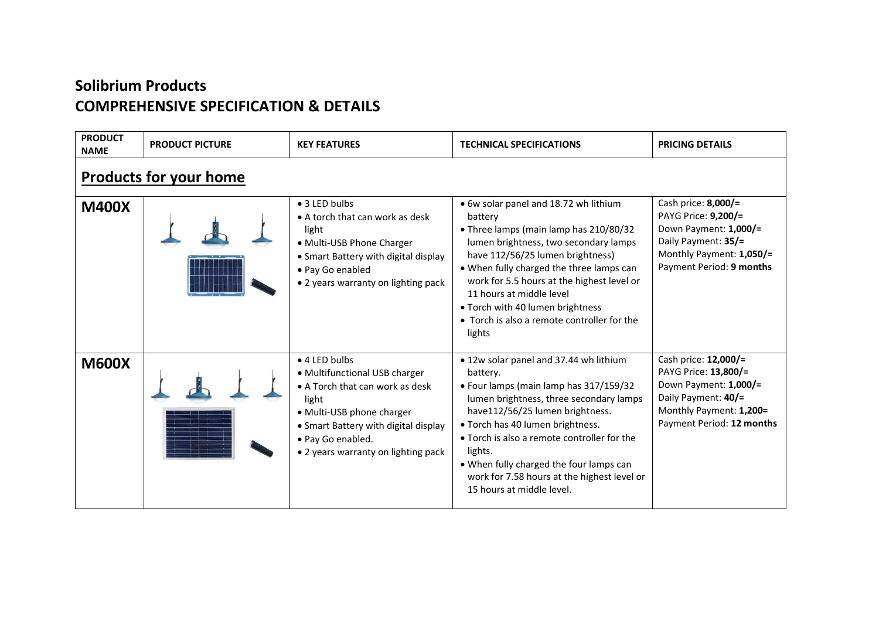## **Solibrium Products COMPREHENSIVE SPECIFICATION & DETAILS**

| <b>PRODUCT</b><br><b>NAME</b> | <b>PRODUCT PICTURE</b>        | <b>KEY FEATURES</b>                                                                                                                                                                                                         | <b>TECHNICAL SPECIFICATIONS</b>                                                                                                                                                                                                                                                                                                                                                                  | <b>PRICING DETAILS</b>                                                                                                                               |  |  |
|-------------------------------|-------------------------------|-----------------------------------------------------------------------------------------------------------------------------------------------------------------------------------------------------------------------------|--------------------------------------------------------------------------------------------------------------------------------------------------------------------------------------------------------------------------------------------------------------------------------------------------------------------------------------------------------------------------------------------------|------------------------------------------------------------------------------------------------------------------------------------------------------|--|--|
|                               | <b>Products for your home</b> |                                                                                                                                                                                                                             |                                                                                                                                                                                                                                                                                                                                                                                                  |                                                                                                                                                      |  |  |
| <b>M400X</b>                  |                               | • 3 LED bulbs<br>• A torch that can work as desk<br>light<br>• Multi-USB Phone Charger<br>• Smart Battery with digital display<br>• Pay Go enabled<br>• 2 years warranty on lighting pack                                   | • 6w solar panel and 18.72 wh lithium<br>battery<br>• Three lamps (main lamp has 210/80/32<br>lumen brightness, two secondary lamps<br>have 112/56/25 lumen brightness)<br>. When fully charged the three lamps can<br>work for 5.5 hours at the highest level or<br>11 hours at middle level<br>• Torch with 40 lumen brightness<br>• Torch is also a remote controller for the<br>lights       | Cash price: 8,000/=<br>PAYG Price: 9,200/=<br>Down Payment: 1,000/=<br>Daily Payment: 35/=<br>Monthly Payment: 1,050/=<br>Payment Period: 9 months   |  |  |
| <b>M600X</b>                  |                               | • 4 LED bulbs<br>• Multifunctional USB charger<br>• A Torch that can work as desk<br>light<br>• Multi-USB phone charger<br>• Smart Battery with digital display<br>· Pay Go enabled.<br>• 2 years warranty on lighting pack | • 12w solar panel and 37.44 wh lithium<br>battery.<br>• Four lamps (main lamp has 317/159/32<br>lumen brightness, three secondary lamps<br>have 112/56/25 lumen brightness.<br>• Torch has 40 lumen brightness.<br>• Torch is also a remote controller for the<br>lights.<br>• When fully charged the four lamps can<br>work for 7.58 hours at the highest level or<br>15 hours at middle level. | Cash price: 12,000/=<br>PAYG Price: 13,800/=<br>Down Payment: 1,000/=<br>Daily Payment: 40/=<br>Monthly Payment: 1,200=<br>Payment Period: 12 months |  |  |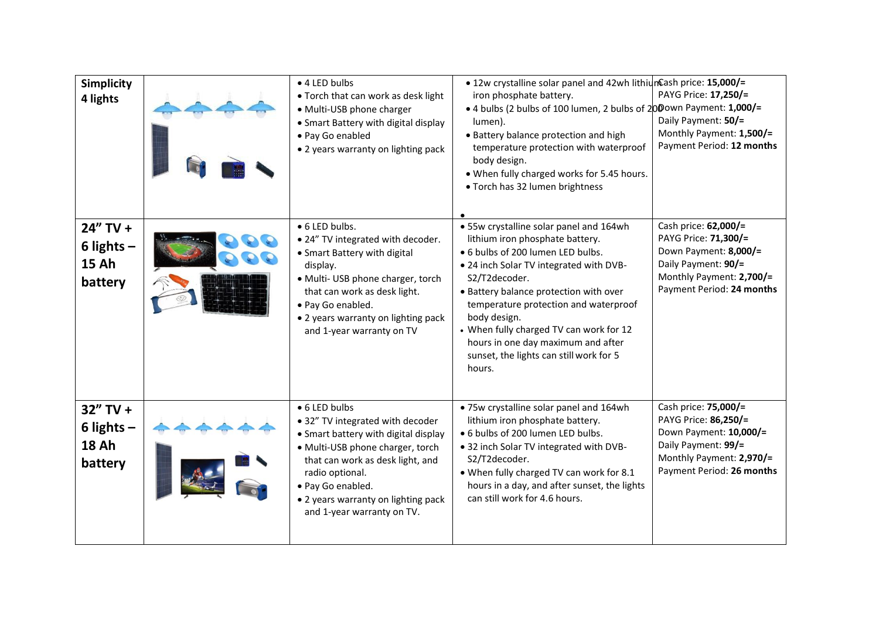| <b>Simplicity</b><br>4 lights                          | • 4 LED bulbs<br>• Torch that can work as desk light<br>· Multi-USB phone charger<br>• Smart Battery with digital display<br>· Pay Go enabled<br>• 2 years warranty on lighting pack                                                                                           | . 12w crystalline solar panel and 42wh lithiunCash price: 15,000/=<br>iron phosphate battery.<br>. 4 bulbs (2 bulbs of 100 lumen, 2 bulbs of 2000wn Payment: 1,000/=<br>lumen).<br>• Battery balance protection and high<br>temperature protection with waterproof<br>body design.<br>. When fully charged works for 5.45 hours.<br>• Torch has 32 lumen brightness                                                  | PAYG Price: 17,250/=<br>Daily Payment: 50/=<br>Monthly Payment: 1,500/=<br>Payment Period: 12 months                                                   |
|--------------------------------------------------------|--------------------------------------------------------------------------------------------------------------------------------------------------------------------------------------------------------------------------------------------------------------------------------|----------------------------------------------------------------------------------------------------------------------------------------------------------------------------------------------------------------------------------------------------------------------------------------------------------------------------------------------------------------------------------------------------------------------|--------------------------------------------------------------------------------------------------------------------------------------------------------|
| $24''$ TV +<br>6 lights $-$<br><b>15 Ah</b><br>battery | • 6 LED bulbs.<br>• 24" TV integrated with decoder.<br>• Smart Battery with digital<br>display.<br>· Multi- USB phone charger, torch<br>that can work as desk light.<br>· Pay Go enabled.<br>• 2 years warranty on lighting pack<br>and 1-year warranty on TV                  | • 55w crystalline solar panel and 164wh<br>lithium iron phosphate battery.<br>. 6 bulbs of 200 lumen LED bulbs.<br>. 24 inch Solar TV integrated with DVB-<br>S2/T2decoder.<br>• Battery balance protection with over<br>temperature protection and waterproof<br>body design.<br>• When fully charged TV can work for 12<br>hours in one day maximum and after<br>sunset, the lights can still work for 5<br>hours. | Cash price: 62,000/=<br>PAYG Price: 71,300/=<br>Down Payment: 8,000/=<br>Daily Payment: 90/=<br>Monthly Payment: 2,700/=<br>Payment Period: 24 months  |
| $32''$ TV +<br>6 lights $-$<br><b>18 Ah</b><br>battery | • 6 LED bulbs<br>• 32" TV integrated with decoder<br>• Smart battery with digital display<br>• Multi-USB phone charger, torch<br>that can work as desk light, and<br>radio optional.<br>· Pay Go enabled.<br>• 2 years warranty on lighting pack<br>and 1-year warranty on TV. | • 75w crystalline solar panel and 164wh<br>lithium iron phosphate battery.<br>. 6 bulbs of 200 lumen LED bulbs.<br>. 32 inch Solar TV integrated with DVB-<br>S2/T2decoder.<br>. When fully charged TV can work for 8.1<br>hours in a day, and after sunset, the lights<br>can still work for 4.6 hours.                                                                                                             | Cash price: 75,000/=<br>PAYG Price: 86,250/=<br>Down Payment: 10,000/=<br>Daily Payment: 99/=<br>Monthly Payment: 2,970/=<br>Payment Period: 26 months |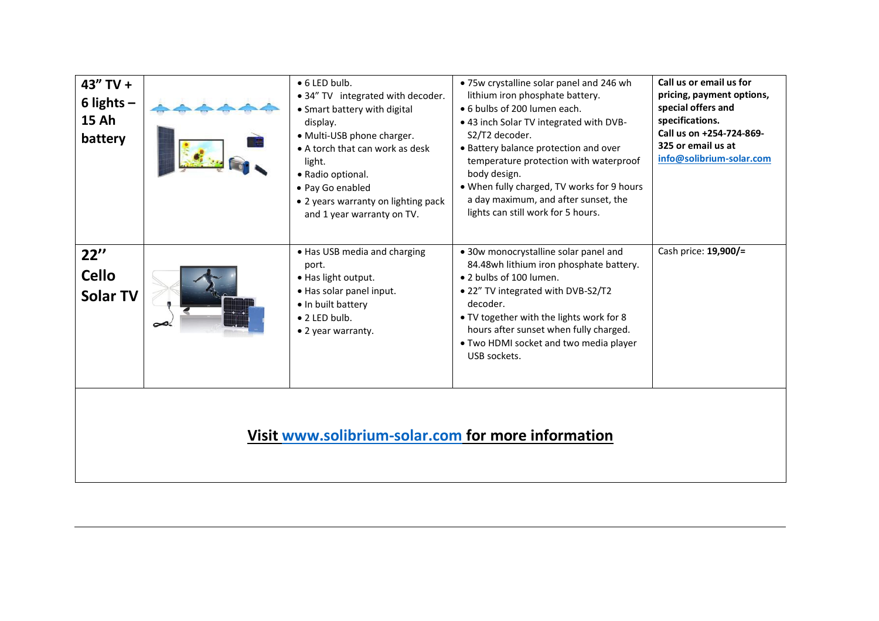| $43''$ TV +<br>6 lights $-$<br><b>15 Ah</b><br>battery |  | $\bullet$ 6 LED bulb.<br>• 34" TV integrated with decoder.<br>• Smart battery with digital<br>display.<br>· Multi-USB phone charger.<br>• A torch that can work as desk<br>light.<br>• Radio optional.<br>• Pay Go enabled<br>• 2 years warranty on lighting pack<br>and 1 year warranty on TV. | • 75w crystalline solar panel and 246 wh<br>lithium iron phosphate battery.<br>· 6 bulbs of 200 lumen each.<br>• 43 inch Solar TV integrated with DVB-<br>S2/T2 decoder.<br>• Battery balance protection and over<br>temperature protection with waterproof<br>body design.<br>. When fully charged, TV works for 9 hours<br>a day maximum, and after sunset, the<br>lights can still work for 5 hours. | Call us or email us for<br>pricing, payment options,<br>special offers and<br>specifications.<br>Call us on +254-724-869-<br>325 or email us at<br>info@solibrium-solar.com |  |
|--------------------------------------------------------|--|-------------------------------------------------------------------------------------------------------------------------------------------------------------------------------------------------------------------------------------------------------------------------------------------------|---------------------------------------------------------------------------------------------------------------------------------------------------------------------------------------------------------------------------------------------------------------------------------------------------------------------------------------------------------------------------------------------------------|-----------------------------------------------------------------------------------------------------------------------------------------------------------------------------|--|
| 22"<br><b>Cello</b><br><b>Solar TV</b>                 |  | • Has USB media and charging<br>port.<br>• Has light output.<br>• Has solar panel input.<br>• In built battery<br>$\bullet$ 2 I FD bulb.<br>• 2 year warranty.                                                                                                                                  | • 30w monocrystalline solar panel and<br>84.48wh lithium iron phosphate battery.<br>• 2 bulbs of 100 lumen.<br>• 22" TV integrated with DVB-S2/T2<br>decoder.<br>• TV together with the lights work for 8<br>hours after sunset when fully charged.<br>• Two HDMI socket and two media player<br>USB sockets.                                                                                           | Cash price: 19,900/=                                                                                                                                                        |  |
| Visit www.solibrium-solar.com for more information     |  |                                                                                                                                                                                                                                                                                                 |                                                                                                                                                                                                                                                                                                                                                                                                         |                                                                                                                                                                             |  |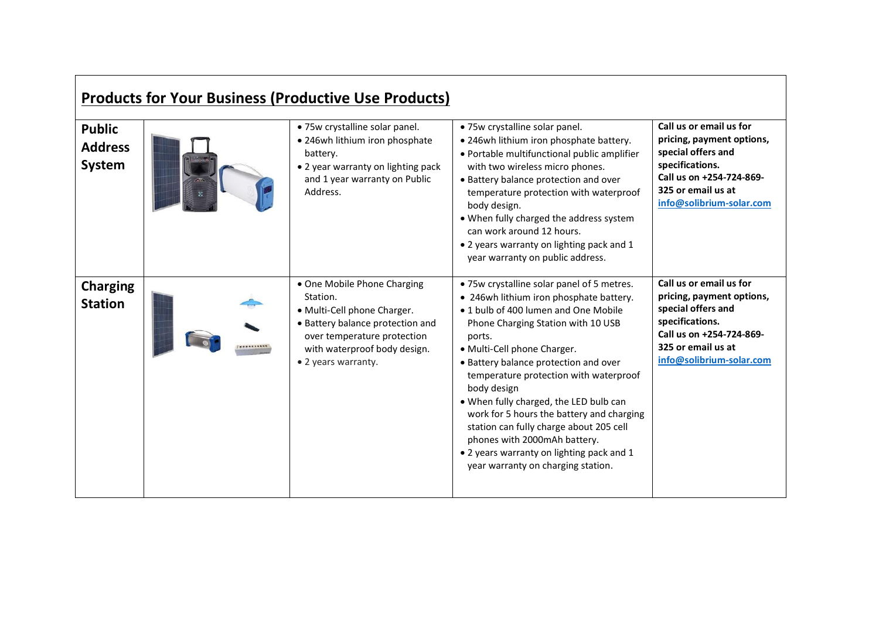| <b>Products for Your Business (Productive Use Products)</b> |  |                                                                                                                                                                                                  |                                                                                                                                                                                                                                                                                                                                                                                                                                                                                                                                                                     |                                                                                                                                                                             |  |
|-------------------------------------------------------------|--|--------------------------------------------------------------------------------------------------------------------------------------------------------------------------------------------------|---------------------------------------------------------------------------------------------------------------------------------------------------------------------------------------------------------------------------------------------------------------------------------------------------------------------------------------------------------------------------------------------------------------------------------------------------------------------------------------------------------------------------------------------------------------------|-----------------------------------------------------------------------------------------------------------------------------------------------------------------------------|--|
| <b>Public</b><br><b>Address</b><br>System                   |  | • 75w crystalline solar panel.<br>· 246wh lithium iron phosphate<br>battery.<br>• 2 year warranty on lighting pack<br>and 1 year warranty on Public<br>Address.                                  | • 75w crystalline solar panel.<br>. 246wh lithium iron phosphate battery.<br>• Portable multifunctional public amplifier<br>with two wireless micro phones.<br>• Battery balance protection and over<br>temperature protection with waterproof<br>body design.<br>. When fully charged the address system<br>can work around 12 hours.<br>. 2 years warranty on lighting pack and 1<br>year warranty on public address.                                                                                                                                             | Call us or email us for<br>pricing, payment options,<br>special offers and<br>specifications.<br>Call us on +254-724-869-<br>325 or email us at<br>info@solibrium-solar.com |  |
| <b>Charging</b><br><b>Station</b>                           |  | • One Mobile Phone Charging<br>Station.<br>• Multi-Cell phone Charger.<br>• Battery balance protection and<br>over temperature protection<br>with waterproof body design.<br>• 2 years warranty. | • 75w crystalline solar panel of 5 metres.<br>• 246wh lithium iron phosphate battery.<br>. 1 bulb of 400 lumen and One Mobile<br>Phone Charging Station with 10 USB<br>ports.<br>· Multi-Cell phone Charger.<br>• Battery balance protection and over<br>temperature protection with waterproof<br>body design<br>. When fully charged, the LED bulb can<br>work for 5 hours the battery and charging<br>station can fully charge about 205 cell<br>phones with 2000mAh battery.<br>. 2 years warranty on lighting pack and 1<br>year warranty on charging station. | Call us or email us for<br>pricing, payment options,<br>special offers and<br>specifications.<br>Call us on +254-724-869-<br>325 or email us at<br>info@solibrium-solar.com |  |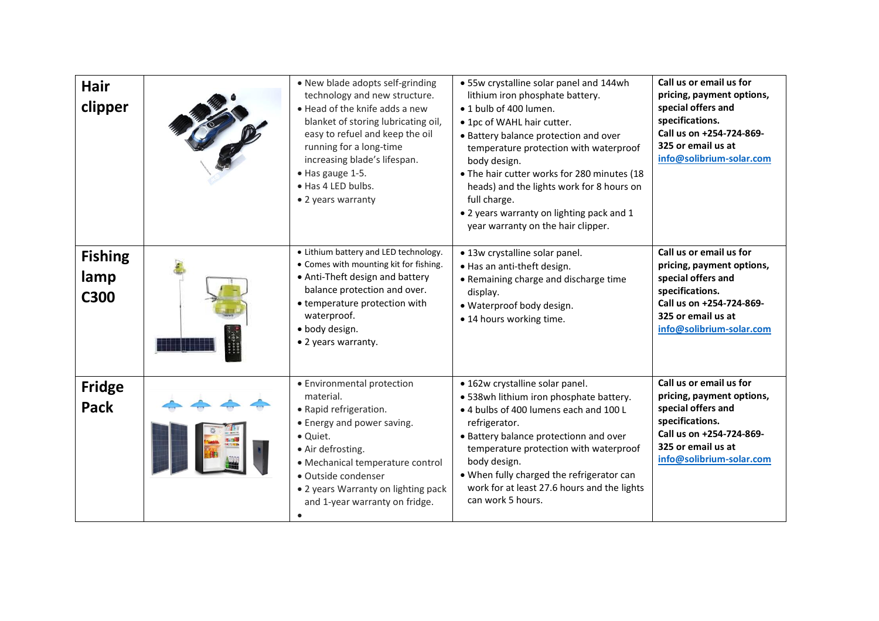| <b>Hair</b><br>clipper         | • New blade adopts self-grinding<br>technology and new structure.<br>• Head of the knife adds a new<br>blanket of storing lubricating oil,<br>easy to refuel and keep the oil<br>running for a long-time<br>increasing blade's lifespan.<br>· Has gauge 1-5.<br>· Has 4 LED bulbs.<br>• 2 years warranty | • 55w crystalline solar panel and 144wh<br>lithium iron phosphate battery.<br>• 1 bulb of 400 lumen.<br>• 1pc of WAHL hair cutter.<br>• Battery balance protection and over<br>temperature protection with waterproof<br>body design.<br>. The hair cutter works for 280 minutes (18<br>heads) and the lights work for 8 hours on<br>full charge.<br>. 2 years warranty on lighting pack and 1<br>year warranty on the hair clipper. | Call us or email us for<br>pricing, payment options,<br>special offers and<br>specifications.<br>Call us on +254-724-869-<br>325 or email us at<br>info@solibrium-solar.com |
|--------------------------------|----------------------------------------------------------------------------------------------------------------------------------------------------------------------------------------------------------------------------------------------------------------------------------------------------------|--------------------------------------------------------------------------------------------------------------------------------------------------------------------------------------------------------------------------------------------------------------------------------------------------------------------------------------------------------------------------------------------------------------------------------------|-----------------------------------------------------------------------------------------------------------------------------------------------------------------------------|
| <b>Fishing</b><br>lamp<br>C300 | • Lithium battery and LED technology.<br>• Comes with mounting kit for fishing.<br>• Anti-Theft design and battery<br>balance protection and over.<br>• temperature protection with<br>waterproof.<br>· body design.<br>• 2 years warranty.                                                              | • 13w crystalline solar panel.<br>. Has an anti-theft design.<br>• Remaining charge and discharge time<br>display.<br>· Waterproof body design.<br>• 14 hours working time.                                                                                                                                                                                                                                                          | Call us or email us for<br>pricing, payment options,<br>special offers and<br>specifications.<br>Call us on +254-724-869-<br>325 or email us at<br>info@solibrium-solar.com |
| <b>Fridge</b><br>Pack          | • Environmental protection<br>material.<br>• Rapid refrigeration.<br>• Energy and power saving.<br>• Quiet.<br>• Air defrosting.<br>• Mechanical temperature control<br>· Outside condenser<br>• 2 years Warranty on lighting pack<br>and 1-year warranty on fridge.                                     | • 162w crystalline solar panel.<br>· 538wh lithium iron phosphate battery.<br>. 4 bulbs of 400 lumens each and 100 L<br>refrigerator.<br>• Battery balance protectionn and over<br>temperature protection with waterproof<br>body design.<br>. When fully charged the refrigerator can<br>work for at least 27.6 hours and the lights<br>can work 5 hours.                                                                           | Call us or email us for<br>pricing, payment options,<br>special offers and<br>specifications.<br>Call us on +254-724-869-<br>325 or email us at<br>info@solibrium-solar.com |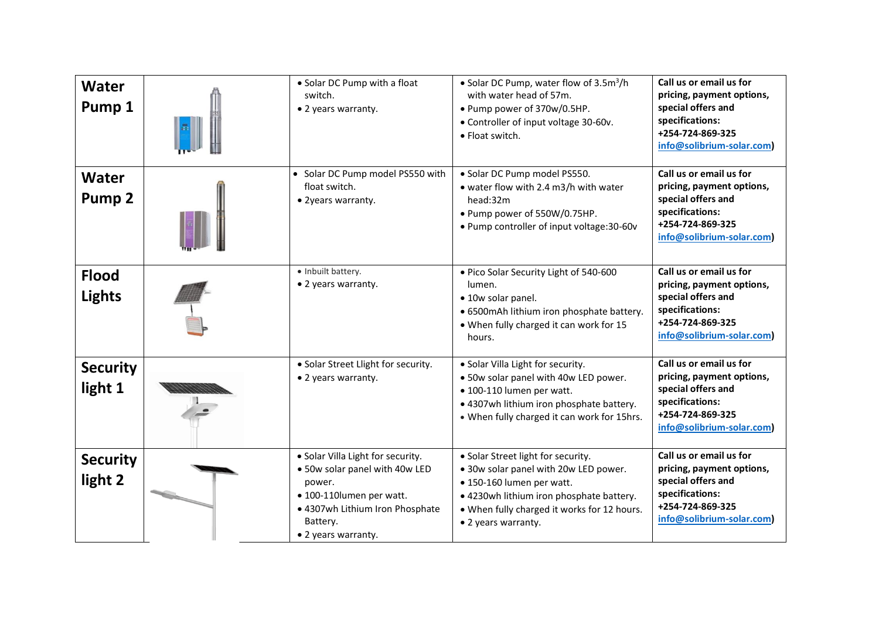| <b>Water</b><br>Pump 1            | • Solar DC Pump with a float<br>switch.<br>• 2 years warranty.                                                                                                                  | • Solar DC Pump, water flow of 3.5m <sup>3</sup> /h<br>with water head of 57m.<br>• Pump power of 370w/0.5HP.<br>• Controller of input voltage 30-60v.<br>• Float switch.                                                  | Call us or email us for<br>pricing, payment options,<br>special offers and<br>specifications:<br>+254-724-869-325<br>info@solibrium-solar.com) |
|-----------------------------------|---------------------------------------------------------------------------------------------------------------------------------------------------------------------------------|----------------------------------------------------------------------------------------------------------------------------------------------------------------------------------------------------------------------------|------------------------------------------------------------------------------------------------------------------------------------------------|
| <b>Water</b><br>Pump <sub>2</sub> | • Solar DC Pump model PS550 with<br>float switch.<br>• 2years warranty.                                                                                                         | · Solar DC Pump model PS550.<br>• water flow with 2.4 m3/h with water<br>head:32m<br>• Pump power of 550W/0.75HP.<br>• Pump controller of input voltage: 30-60v                                                            | Call us or email us for<br>pricing, payment options,<br>special offers and<br>specifications:<br>+254-724-869-325<br>info@solibrium-solar.com) |
| <b>Flood</b><br><b>Lights</b>     | • Inbuilt battery.<br>• 2 years warranty.                                                                                                                                       | . Pico Solar Security Light of 540-600<br>lumen.<br>• 10w solar panel.<br>· 6500mAh lithium iron phosphate battery.<br>. When fully charged it can work for 15<br>hours.                                                   | Call us or email us for<br>pricing, payment options,<br>special offers and<br>specifications:<br>+254-724-869-325<br>info@solibrium-solar.com) |
| <b>Security</b><br>light 1        | • Solar Street Llight for security.<br>• 2 years warranty.                                                                                                                      | • Solar Villa Light for security.<br>• 50w solar panel with 40w LED power.<br>· 100-110 lumen per watt.<br>. 4307wh lithium iron phosphate battery.<br>• When fully charged it can work for 15hrs.                         | Call us or email us for<br>pricing, payment options,<br>special offers and<br>specifications:<br>+254-724-869-325<br>info@solibrium-solar.com) |
| <b>Security</b><br>light 2        | • Solar Villa Light for security.<br>• 50w solar panel with 40w LED<br>power.<br>· 100-110lumen per watt.<br>. 4307wh Lithium Iron Phosphate<br>Battery.<br>• 2 years warranty. | • Solar Street light for security.<br>• 30w solar panel with 20w LED power.<br>· 150-160 lumen per watt.<br>. 4230wh lithium iron phosphate battery.<br>. When fully charged it works for 12 hours.<br>• 2 years warranty. | Call us or email us for<br>pricing, payment options,<br>special offers and<br>specifications:<br>+254-724-869-325<br>info@solibrium-solar.com) |